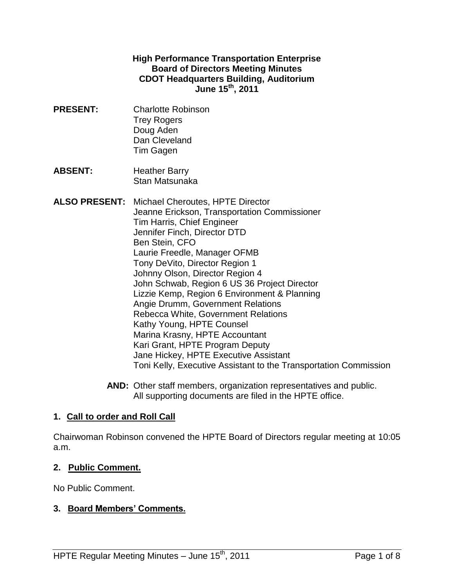#### **High Performance Transportation Enterprise Board of Directors Meeting Minutes CDOT Headquarters Building, Auditorium June 15 th , 2011**

- **PRESENT:** Charlotte Robinson Trey Rogers Doug Aden Dan Cleveland Tim Gagen
- **ABSENT:** Heather Barry Stan Matsunaka

**ALSO PRESENT:** Michael Cheroutes, HPTE Director Jeanne Erickson, Transportation Commissioner Tim Harris, Chief Engineer Jennifer Finch, Director DTD Ben Stein, CFO Laurie Freedle, Manager OFMB Tony DeVito, Director Region 1 Johnny Olson, Director Region 4 John Schwab, Region 6 US 36 Project Director Lizzie Kemp, Region 6 Environment & Planning Angie Drumm, Government Relations Rebecca White, Government Relations Kathy Young, HPTE Counsel Marina Krasny, HPTE Accountant Kari Grant, HPTE Program Deputy Jane Hickey, HPTE Executive Assistant Toni Kelly, Executive Assistant to the Transportation Commission

> **AND:** Other staff members, organization representatives and public. All supporting documents are filed in the HPTE office.

### **1. Call to order and Roll Call**

Chairwoman Robinson convened the HPTE Board of Directors regular meeting at 10:05 a.m.

#### **2. Public Comment.**

No Public Comment.

#### **3. Board Members' Comments.**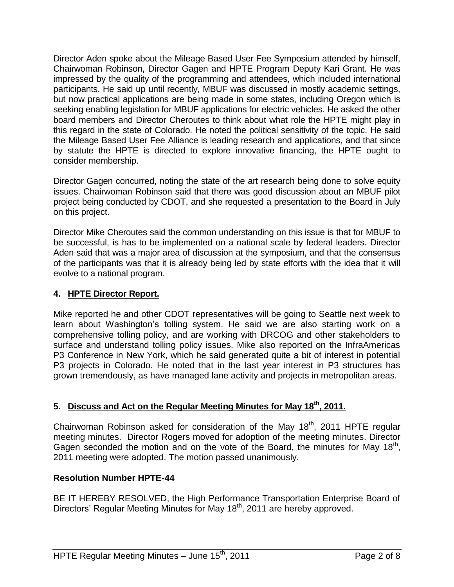Director Aden spoke about the Mileage Based User Fee Symposium attended by himself, Chairwoman Robinson, Director Gagen and HPTE Program Deputy Kari Grant. He was impressed by the quality of the programming and attendees, which included international participants. He said up until recently, MBUF was discussed in mostly academic settings, but now practical applications are being made in some states, including Oregon which is seeking enabling legislation for MBUF applications for electric vehicles. He asked the other board members and Director Cheroutes to think about what role the HPTE might play in this regard in the state of Colorado. He noted the political sensitivity of the topic. He said the Mileage Based User Fee Alliance is leading research and applications, and that since by statute the HPTE is directed to explore innovative financing, the HPTE ought to consider membership.

Director Gagen concurred, noting the state of the art research being done to solve equity issues. Chairwoman Robinson said that there was good discussion about an MBUF pilot project being conducted by CDOT, and she requested a presentation to the Board in July on this project.

Director Mike Cheroutes said the common understanding on this issue is that for MBUF to be successful, is has to be implemented on a national scale by federal leaders. Director Aden said that was a major area of discussion at the symposium, and that the consensus of the participants was that it is already being led by state efforts with the idea that it will evolve to a national program.

## **4. HPTE Director Report.**

Mike reported he and other CDOT representatives will be going to Seattle next week to learn about Washington's tolling system. He said we are also starting work on a comprehensive tolling policy, and are working with DRCOG and other stakeholders to surface and understand tolling policy issues. Mike also reported on the InfraAmericas P3 Conference in New York, which he said generated quite a bit of interest in potential P3 projects in Colorado. He noted that in the last year interest in P3 structures has grown tremendously, as have managed lane activity and projects in metropolitan areas.

# **5. Discuss and Act on the Regular Meeting Minutes for May 18th , 2011.**

Chairwoman Robinson asked for consideration of the May  $18<sup>th</sup>$ , 2011 HPTE regular meeting minutes. Director Rogers moved for adoption of the meeting minutes. Director Gagen seconded the motion and on the vote of the Board, the minutes for May 18<sup>th</sup>, 2011 meeting were adopted. The motion passed unanimously.

### **Resolution Number HPTE-44**

BE IT HEREBY RESOLVED, the High Performance Transportation Enterprise Board of Directors' Regular Meeting Minutes for May 18<sup>th</sup>, 2011 are hereby approved.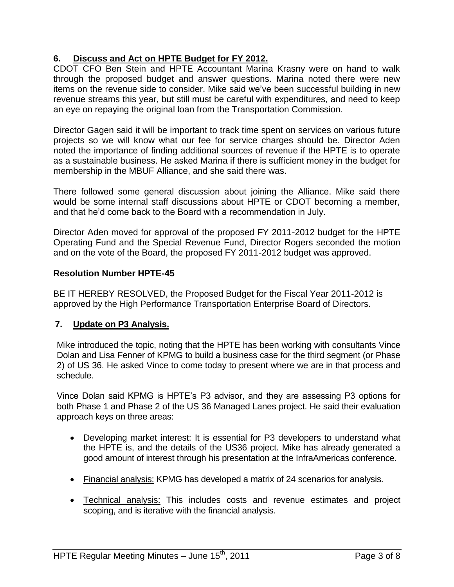## **6. Discuss and Act on HPTE Budget for FY 2012.**

CDOT CFO Ben Stein and HPTE Accountant Marina Krasny were on hand to walk through the proposed budget and answer questions. Marina noted there were new items on the revenue side to consider. Mike said we've been successful building in new revenue streams this year, but still must be careful with expenditures, and need to keep an eye on repaying the original loan from the Transportation Commission.

Director Gagen said it will be important to track time spent on services on various future projects so we will know what our fee for service charges should be. Director Aden noted the importance of finding additional sources of revenue if the HPTE is to operate as a sustainable business. He asked Marina if there is sufficient money in the budget for membership in the MBUF Alliance, and she said there was.

There followed some general discussion about joining the Alliance. Mike said there would be some internal staff discussions about HPTE or CDOT becoming a member, and that he'd come back to the Board with a recommendation in July.

Director Aden moved for approval of the proposed FY 2011-2012 budget for the HPTE Operating Fund and the Special Revenue Fund, Director Rogers seconded the motion and on the vote of the Board, the proposed FY 2011-2012 budget was approved.

### **Resolution Number HPTE-45**

BE IT HEREBY RESOLVED, the Proposed Budget for the Fiscal Year 2011-2012 is approved by the High Performance Transportation Enterprise Board of Directors.

### **7. Update on P3 Analysis.**

Mike introduced the topic, noting that the HPTE has been working with consultants Vince Dolan and Lisa Fenner of KPMG to build a business case for the third segment (or Phase 2) of US 36. He asked Vince to come today to present where we are in that process and schedule.

Vince Dolan said KPMG is HPTE's P3 advisor, and they are assessing P3 options for both Phase 1 and Phase 2 of the US 36 Managed Lanes project. He said their evaluation approach keys on three areas:

- Developing market interest: It is essential for P3 developers to understand what the HPTE is, and the details of the US36 project. Mike has already generated a good amount of interest through his presentation at the InfraAmericas conference.
- Financial analysis: KPMG has developed a matrix of 24 scenarios for analysis.
- Technical analysis: This includes costs and revenue estimates and project scoping, and is iterative with the financial analysis.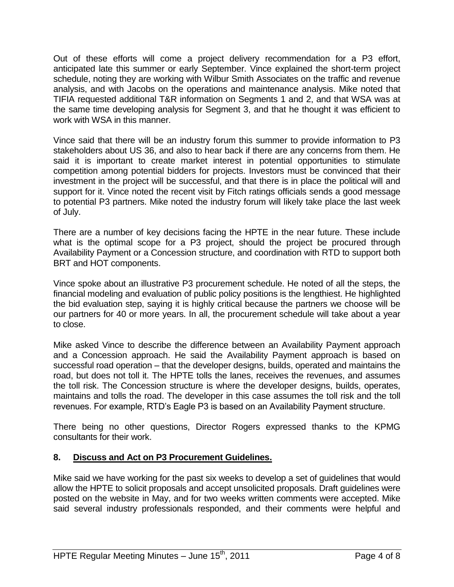Out of these efforts will come a project delivery recommendation for a P3 effort, anticipated late this summer or early September. Vince explained the short-term project schedule, noting they are working with Wilbur Smith Associates on the traffic and revenue analysis, and with Jacobs on the operations and maintenance analysis. Mike noted that TIFIA requested additional T&R information on Segments 1 and 2, and that WSA was at the same time developing analysis for Segment 3, and that he thought it was efficient to work with WSA in this manner.

Vince said that there will be an industry forum this summer to provide information to P3 stakeholders about US 36, and also to hear back if there are any concerns from them. He said it is important to create market interest in potential opportunities to stimulate competition among potential bidders for projects. Investors must be convinced that their investment in the project will be successful, and that there is in place the political will and support for it. Vince noted the recent visit by Fitch ratings officials sends a good message to potential P3 partners. Mike noted the industry forum will likely take place the last week of July.

There are a number of key decisions facing the HPTE in the near future. These include what is the optimal scope for a P3 project, should the project be procured through Availability Payment or a Concession structure, and coordination with RTD to support both BRT and HOT components.

Vince spoke about an illustrative P3 procurement schedule. He noted of all the steps, the financial modeling and evaluation of public policy positions is the lengthiest. He highlighted the bid evaluation step, saying it is highly critical because the partners we choose will be our partners for 40 or more years. In all, the procurement schedule will take about a year to close.

Mike asked Vince to describe the difference between an Availability Payment approach and a Concession approach. He said the Availability Payment approach is based on successful road operation – that the developer designs, builds, operated and maintains the road, but does not toll it. The HPTE tolls the lanes, receives the revenues, and assumes the toll risk. The Concession structure is where the developer designs, builds, operates, maintains and tolls the road. The developer in this case assumes the toll risk and the toll revenues. For example, RTD's Eagle P3 is based on an Availability Payment structure.

There being no other questions, Director Rogers expressed thanks to the KPMG consultants for their work.

### **8. Discuss and Act on P3 Procurement Guidelines.**

Mike said we have working for the past six weeks to develop a set of guidelines that would allow the HPTE to solicit proposals and accept unsolicited proposals. Draft guidelines were posted on the website in May, and for two weeks written comments were accepted. Mike said several industry professionals responded, and their comments were helpful and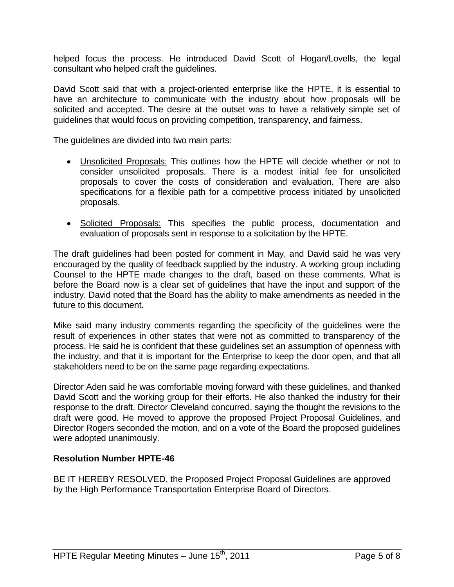helped focus the process. He introduced David Scott of Hogan/Lovells, the legal consultant who helped craft the guidelines.

David Scott said that with a project-oriented enterprise like the HPTE, it is essential to have an architecture to communicate with the industry about how proposals will be solicited and accepted. The desire at the outset was to have a relatively simple set of guidelines that would focus on providing competition, transparency, and fairness.

The guidelines are divided into two main parts:

- Unsolicited Proposals: This outlines how the HPTE will decide whether or not to consider unsolicited proposals. There is a modest initial fee for unsolicited proposals to cover the costs of consideration and evaluation. There are also specifications for a flexible path for a competitive process initiated by unsolicited proposals.
- Solicited Proposals: This specifies the public process, documentation and evaluation of proposals sent in response to a solicitation by the HPTE.

The draft guidelines had been posted for comment in May, and David said he was very encouraged by the quality of feedback supplied by the industry. A working group including Counsel to the HPTE made changes to the draft, based on these comments. What is before the Board now is a clear set of guidelines that have the input and support of the industry. David noted that the Board has the ability to make amendments as needed in the future to this document.

Mike said many industry comments regarding the specificity of the guidelines were the result of experiences in other states that were not as committed to transparency of the process. He said he is confident that these guidelines set an assumption of openness with the industry, and that it is important for the Enterprise to keep the door open, and that all stakeholders need to be on the same page regarding expectations.

Director Aden said he was comfortable moving forward with these guidelines, and thanked David Scott and the working group for their efforts. He also thanked the industry for their response to the draft. Director Cleveland concurred, saying the thought the revisions to the draft were good. He moved to approve the proposed Project Proposal Guidelines, and Director Rogers seconded the motion, and on a vote of the Board the proposed guidelines were adopted unanimously.

#### **Resolution Number HPTE-46**

BE IT HEREBY RESOLVED, the Proposed Project Proposal Guidelines are approved by the High Performance Transportation Enterprise Board of Directors.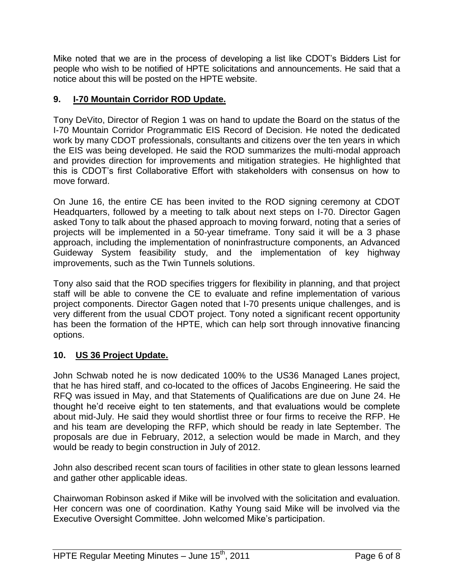Mike noted that we are in the process of developing a list like CDOT's Bidders List for people who wish to be notified of HPTE solicitations and announcements. He said that a notice about this will be posted on the HPTE website.

## **9. I-70 Mountain Corridor ROD Update.**

Tony DeVito, Director of Region 1 was on hand to update the Board on the status of the I-70 Mountain Corridor Programmatic EIS Record of Decision. He noted the dedicated work by many CDOT professionals, consultants and citizens over the ten years in which the EIS was being developed. He said the ROD summarizes the multi-modal approach and provides direction for improvements and mitigation strategies. He highlighted that this is CDOT's first Collaborative Effort with stakeholders with consensus on how to move forward.

On June 16, the entire CE has been invited to the ROD signing ceremony at CDOT Headquarters, followed by a meeting to talk about next steps on I-70. Director Gagen asked Tony to talk about the phased approach to moving forward, noting that a series of projects will be implemented in a 50-year timeframe. Tony said it will be a 3 phase approach, including the implementation of noninfrastructure components, an Advanced Guideway System feasibility study, and the implementation of key highway improvements, such as the Twin Tunnels solutions.

Tony also said that the ROD specifies triggers for flexibility in planning, and that project staff will be able to convene the CE to evaluate and refine implementation of various project components. Director Gagen noted that I-70 presents unique challenges, and is very different from the usual CDOT project. Tony noted a significant recent opportunity has been the formation of the HPTE, which can help sort through innovative financing options.

# **10. US 36 Project Update.**

John Schwab noted he is now dedicated 100% to the US36 Managed Lanes project, that he has hired staff, and co-located to the offices of Jacobs Engineering. He said the RFQ was issued in May, and that Statements of Qualifications are due on June 24. He thought he'd receive eight to ten statements, and that evaluations would be complete about mid-July. He said they would shortlist three or four firms to receive the RFP. He and his team are developing the RFP, which should be ready in late September. The proposals are due in February, 2012, a selection would be made in March, and they would be ready to begin construction in July of 2012.

John also described recent scan tours of facilities in other state to glean lessons learned and gather other applicable ideas.

Chairwoman Robinson asked if Mike will be involved with the solicitation and evaluation. Her concern was one of coordination. Kathy Young said Mike will be involved via the Executive Oversight Committee. John welcomed Mike's participation.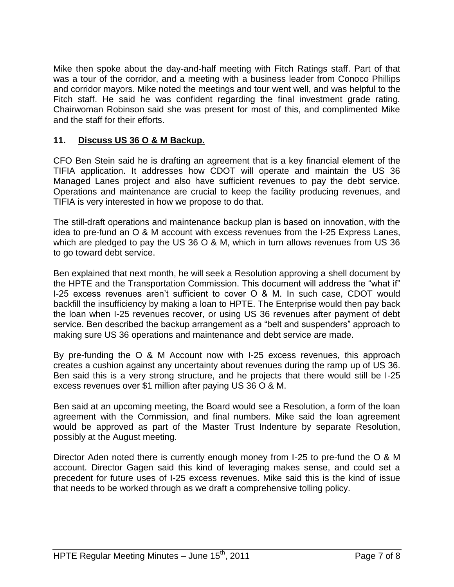Mike then spoke about the day-and-half meeting with Fitch Ratings staff. Part of that was a tour of the corridor, and a meeting with a business leader from Conoco Phillips and corridor mayors. Mike noted the meetings and tour went well, and was helpful to the Fitch staff. He said he was confident regarding the final investment grade rating. Chairwoman Robinson said she was present for most of this, and complimented Mike and the staff for their efforts.

### **11. Discuss US 36 O & M Backup.**

CFO Ben Stein said he is drafting an agreement that is a key financial element of the TIFIA application. It addresses how CDOT will operate and maintain the US 36 Managed Lanes project and also have sufficient revenues to pay the debt service. Operations and maintenance are crucial to keep the facility producing revenues, and TIFIA is very interested in how we propose to do that.

The still-draft operations and maintenance backup plan is based on innovation, with the idea to pre-fund an O & M account with excess revenues from the I-25 Express Lanes, which are pledged to pay the US 36 O & M, which in turn allows revenues from US 36 to go toward debt service.

Ben explained that next month, he will seek a Resolution approving a shell document by the HPTE and the Transportation Commission. This document will address the "what if" I-25 excess revenues aren't sufficient to cover O & M. In such case, CDOT would backfill the insufficiency by making a loan to HPTE. The Enterprise would then pay back the loan when I-25 revenues recover, or using US 36 revenues after payment of debt service. Ben described the backup arrangement as a "belt and suspenders" approach to making sure US 36 operations and maintenance and debt service are made.

By pre-funding the O & M Account now with I-25 excess revenues, this approach creates a cushion against any uncertainty about revenues during the ramp up of US 36. Ben said this is a very strong structure, and he projects that there would still be I-25 excess revenues over \$1 million after paying US 36 O & M.

Ben said at an upcoming meeting, the Board would see a Resolution, a form of the loan agreement with the Commission, and final numbers. Mike said the loan agreement would be approved as part of the Master Trust Indenture by separate Resolution, possibly at the August meeting.

Director Aden noted there is currently enough money from I-25 to pre-fund the O & M account. Director Gagen said this kind of leveraging makes sense, and could set a precedent for future uses of I-25 excess revenues. Mike said this is the kind of issue that needs to be worked through as we draft a comprehensive tolling policy.